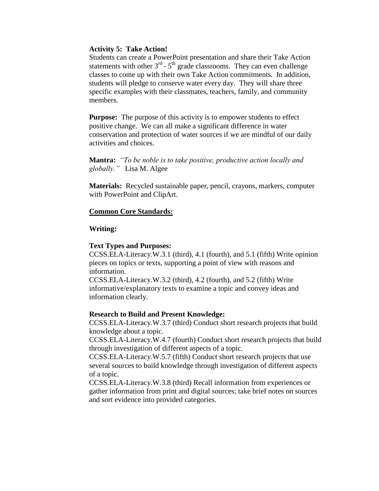# **Activity 5: Take Action!**

Students can create a PowerPoint presentation and share their Take Action statements with other  $3<sup>rd</sup> - 5<sup>th</sup>$  grade classrooms. They can even challenge classes to come up with their own Take Action commitments. In addition, students will pledge to conserve water every day. They will share three specific examples with their classmates, teachers, family, and community members.

**Purpose:** The purpose of this activity is to empower students to effect positive change. We can all make a significant difference in water conservation and protection of water sources if we are mindful of our daily activities and choices.

**Mantra:** *"To be noble is to take positive, productive action locally and globally."* Lisa M. Algee

**Materials:** Recycled sustainable paper, pencil, crayons, markers, computer with PowerPoint and ClipArt.

## **Common Core Standards:**

## **Writing:**

#### **Text Types and Purposes:**

CCSS.ELA-Literacy.W.3.1 (third), 4.1 (fourth), and 5.1 (fifth) Write opinion pieces on topics or texts, supporting a point of view with reasons and information.

CCSS.ELA-Literacy.W.3.2 (third), 4.2 (fourth), and 5.2 (fifth) Write informative/explanatory texts to examine a topic and convey ideas and information clearly.

#### **Research to Build and Present Knowledge:**

CCSS.ELA-Literacy.W.3.7 (third) Conduct short research projects that build knowledge about a topic.

CCSS.ELA-Literacy.W.4.7 (fourth) Conduct short research projects that build through investigation of different aspects of a topic.

CCSS.ELA-Literacy.W.5.7 (fifth) Conduct short research projects that use several sources to build knowledge through investigation of different aspects of a topic.

CCSS.ELA-Literacy.W.3.8 (third) Recall information from experiences or gather information from print and digital sources; take brief notes on sources and sort evidence into provided categories.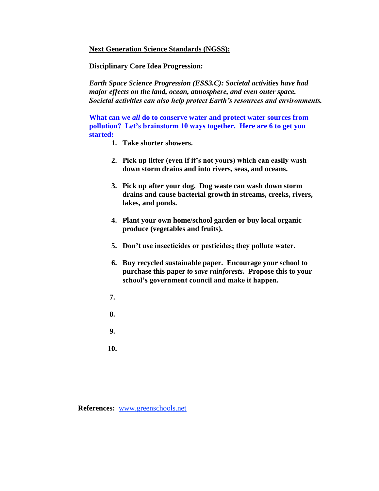## **Next Generation Science Standards (NGSS):**

**Disciplinary Core Idea Progression:** 

*Earth Space Science Progression (ESS3.C): Societal activities have had major effects on the land, ocean, atmosphere, and even outer space. Societal activities can also help protect Earth's resources and environments.* 

**What can we** *all* **do to conserve water and protect water sources from pollution? Let's brainstorm 10 ways together. Here are 6 to get you started:** 

- **1. Take shorter showers.**
- **2. Pick up litter (even if it's not yours) which can easily wash down storm drains and into rivers, seas, and oceans.**
- **3. Pick up after your dog. Dog waste can wash down storm drains and cause bacterial growth in streams, creeks, rivers, lakes, and ponds.**
- **4. Plant your own home/school garden or buy local organic produce (vegetables and fruits).**
- **5. Don't use insecticides or pesticides; they pollute water.**
- **6. Buy recycled sustainable paper. Encourage your school to purchase this paper** *to save rainforests***. Propose this to your school's government council and make it happen.**
- **7.**
- **8.**
- **9.**
- 
- **10.**

**References:** [www.greenschools.net](http://www.greenschools.net/)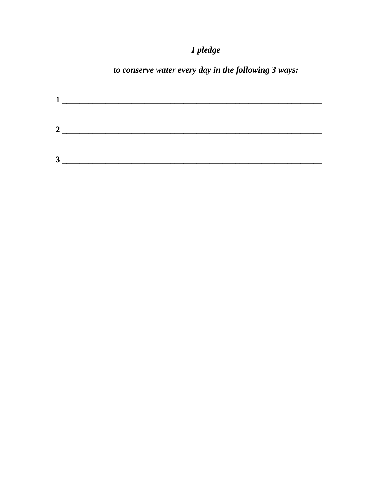# I pledge

# to conserve water every day in the following 3 ways:

| $\boldsymbol{2}$ |  |  |  |
|------------------|--|--|--|
| 2<br>لہ          |  |  |  |